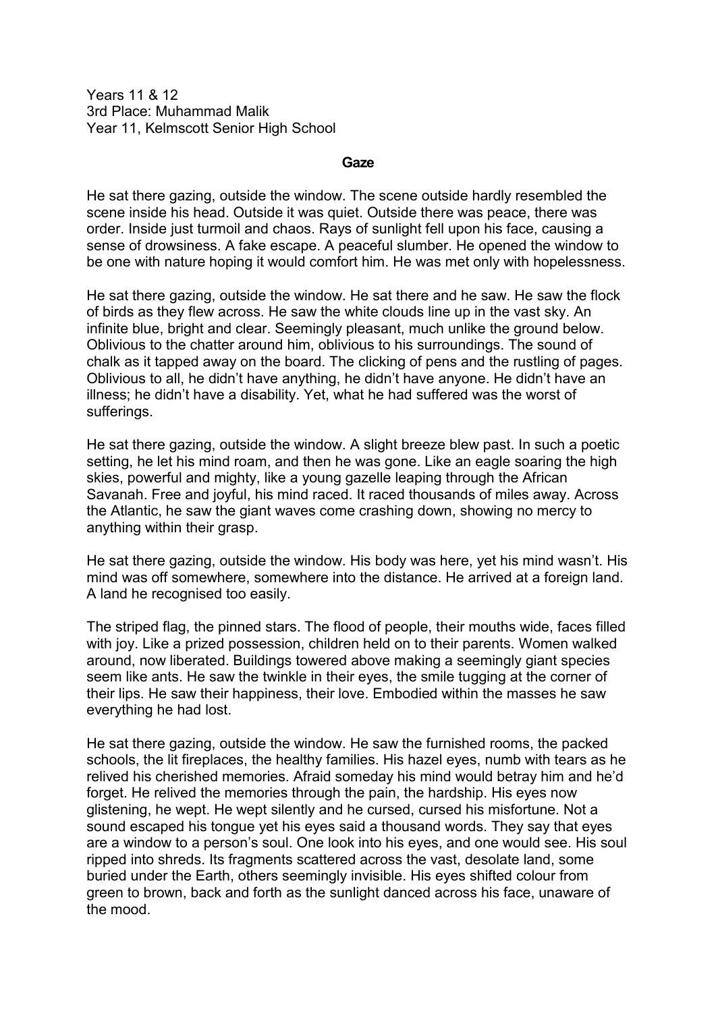Years 11 & 12 3rd Place: Muhammad Malik Year 11, Kelmscott Senior High School

## **Gaze**

He sat there gazing, outside the window. The scene outside hardly resembled the scene inside his head. Outside it was quiet. Outside there was peace, there was order. Inside just turmoil and chaos. Rays of sunlight fell upon his face, causing a sense of drowsiness. A fake escape. A peaceful slumber. He opened the window to be one with nature hoping it would comfort him. He was met only with hopelessness.

He sat there gazing, outside the window. He sat there and he saw. He saw the flock of birds as they flew across. He saw the white clouds line up in the vast sky. An infinite blue, bright and clear. Seemingly pleasant, much unlike the ground below. Oblivious to the chatter around him, oblivious to his surroundings. The sound of chalk as it tapped away on the board. The clicking of pens and the rustling of pages. Oblivious to all, he didn't have anything, he didn't have anyone. He didn't have an illness; he didn't have a disability. Yet, what he had suffered was the worst of sufferings.

He sat there gazing, outside the window. A slight breeze blew past. In such a poetic setting, he let his mind roam, and then he was gone. Like an eagle soaring the high skies, powerful and mighty, like a young gazelle leaping through the African Savanah. Free and joyful, his mind raced. It raced thousands of miles away. Across the Atlantic, he saw the giant waves come crashing down, showing no mercy to anything within their grasp.

He sat there gazing, outside the window. His body was here, yet his mind wasn't. His mind was off somewhere, somewhere into the distance. He arrived at a foreign land. A land he recognised too easily.

The striped flag, the pinned stars. The flood of people, their mouths wide, faces filled with joy. Like a prized possession, children held on to their parents. Women walked around, now liberated. Buildings towered above making a seemingly giant species seem like ants. He saw the twinkle in their eyes, the smile tugging at the corner of their lips. He saw their happiness, their love. Embodied within the masses he saw everything he had lost.

He sat there gazing, outside the window. He saw the furnished rooms, the packed schools, the lit fireplaces, the healthy families. His hazel eyes, numb with tears as he relived his cherished memories. Afraid someday his mind would betray him and he'd forget. He relived the memories through the pain, the hardship. His eyes now glistening, he wept. He wept silently and he cursed, cursed his misfortune. Not a sound escaped his tongue yet his eyes said a thousand words. They say that eyes are a window to a person's soul. One look into his eyes, and one would see. His soul ripped into shreds. Its fragments scattered across the vast, desolate land, some buried under the Earth, others seemingly invisible. His eyes shifted colour from green to brown, back and forth as the sunlight danced across his face, unaware of the mood.